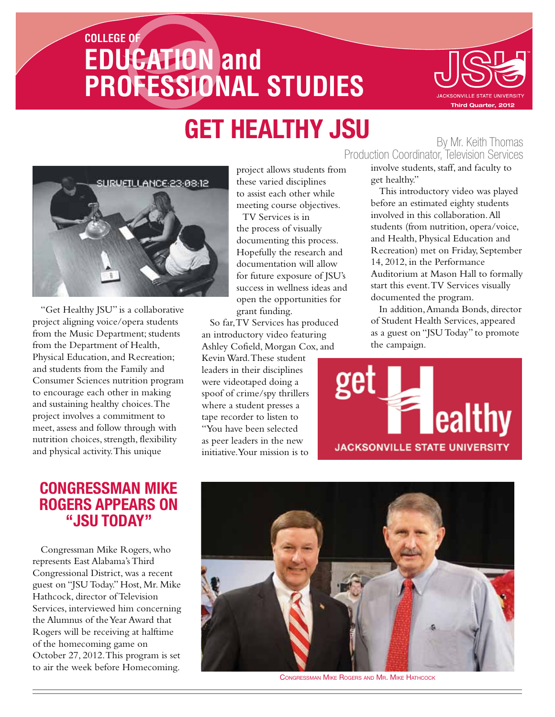# **COLLEGE OF EDUCATION and PROFESSIONAL STUDIES Third Quarter, 2012**



# **GET HEALTHY JSU** By Mr. Keith Thomas



"Get Healthy JSU" is a collaborative project aligning voice/opera students from the Music Department; students from the Department of Health, Physical Education, and Recreation; and students from the Family and Consumer Sciences nutrition program to encourage each other in making and sustaining healthy choices. The project involves a commitment to meet, assess and follow through with nutrition choices, strength, flexibility and physical activity. This unique

#### **Congressman Mike Rogers Appears on "JSU Today"**

Congressman Mike Rogers, who represents East Alabama's Third Congressional District, was a recent guest on "JSU Today." Host, Mr. Mike Hathcock, director of Television Services, interviewed him concerning the Alumnus of the Year Award that Rogers will be receiving at halftime of the homecoming game on October 27, 2012. This program is set to air the week before Homecoming.

project allows students from these varied disciplines to assist each other while meeting course objectives.

TV Services is in the process of visually documenting this process. Hopefully the research and documentation will allow for future exposure of JSU's success in wellness ideas and open the opportunities for grant funding.

So far, TV Services has produced an introductory video featuring Ashley Cofield, Morgan Cox, and Kevin Ward. These student leaders in their disciplines were videotaped doing a spoof of crime/spy thrillers where a student presses a tape recorder to listen to "You have been selected as peer leaders in the new initiative. Your mission is to

Production Coordinator, Television Services

involve students, staff, and faculty to get healthy."

This introductory video was played before an estimated eighty students involved in this collaboration. All students (from nutrition, opera/voice, and Health, Physical Education and Recreation) met on Friday, September 14, 2012, in the Performance Auditorium at Mason Hall to formally start this event. TV Services visually documented the program.

In addition, Amanda Bonds, director of Student Health Services, appeared as a guest on "JSU Today" to promote the campaign.





Congressman Mike Rogers and Mr. Mike Hathcock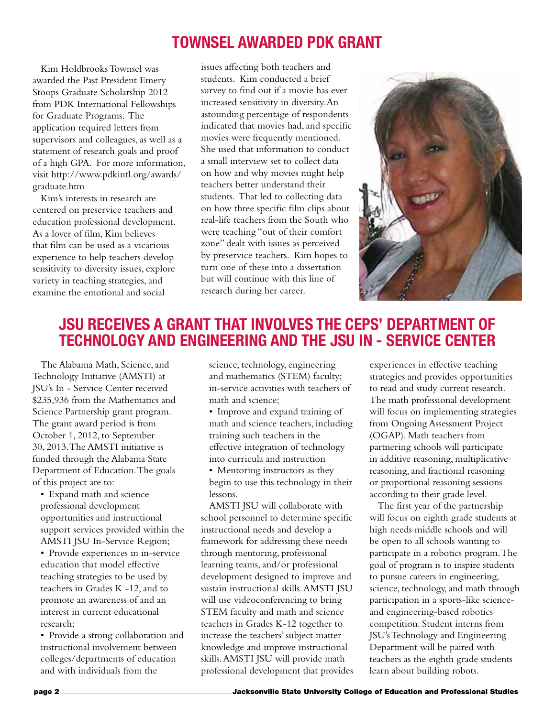# **Townsel Awarded PDK Grant**

Kim Holdbrooks Townsel was awarded the Past President Emery Stoops Graduate Scholarship 2012 from PDK International Fellowships for Graduate Programs. The application required letters from supervisors and colleagues, as well as a statement of research goals and proof of a high GPA. For more information, visit http://www.pdkintl.org/awards/ graduate.htm

Kim's interests in research are centered on preservice teachers and education professional development. As a lover of film, Kim believes that film can be used as a vicarious experience to help teachers develop sensitivity to diversity issues, explore variety in teaching strategies, and examine the emotional and social

issues affecting both teachers and students. Kim conducted a brief survey to find out if a movie has ever increased sensitivity in diversity. An astounding percentage of respondents indicated that movies had, and specific movies were frequently mentioned. She used that information to conduct a small interview set to collect data on how and why movies might help teachers better understand their students. That led to collecting data on how three specific film clips about real-life teachers from the South who were teaching "out of their comfort zone" dealt with issues as perceived by preservice teachers. Kim hopes to turn one of these into a dissertation but will continue with this line of research during her career.



# **JSU receives a GRANT THAT INVOLVES THE CEPS' Department of technology and Engineering and the JSU In - service Center**

The Alabama Math, Science, and Technology Initiative (AMSTI) at JSU's In - Service Center received \$235,936 from the Mathematics and Science Partnership grant program. The grant award period is from October 1, 2012, to September 30, 2013. The AMSTI initiative is funded through the Alabama State Department of Education. The goals of this project are to:

- • Expand math and science professional development opportunities and instructional support services provided within the AMSTI JSU In-Service Region;
- • Provide experiences in in-service education that model effective teaching strategies to be used by teachers in Grades K -12, and to promote an awareness of and an interest in current educational research;
- Provide a strong collaboration and instructional involvement between colleges/departments of education and with individuals from the

science, technology, engineering and mathematics (STEM) faculty; in-service activities with teachers of math and science;

- Improve and expand training of math and science teachers, including training such teachers in the effective integration of technology into curricula and instruction
- Mentoring instructors as they begin to use this technology in their lessons.

AMSTI JSU will collaborate with school personnel to determine specific instructional needs and develop a framework for addressing these needs through mentoring, professional learning teams, and/or professional development designed to improve and sustain instructional skills. AMSTI JSU will use videoconferencing to bring STEM faculty and math and science teachers in Grades K-12 together to increase the teachers' subject matter knowledge and improve instructional skills. AMSTI JSU will provide math professional development that provides experiences in effective teaching strategies and provides opportunities to read and study current research. The math professional development will focus on implementing strategies from Ongoing Assessment Project (OGAP). Math teachers from partnering schools will participate in additive reasoning, multiplicative reasoning, and fractional reasoning or proportional reasoning sessions according to their grade level.

The first year of the partnership will focus on eighth grade students at high needs middle schools and will be open to all schools wanting to participate in a robotics program. The goal of program is to inspire students to pursue careers in engineering, science, technology, and math through participation in a sports-like scienceand engineering-based robotics competition. Student interns from JSU's Technology and Engineering Department will be paired with teachers as the eighth grade students learn about building robots.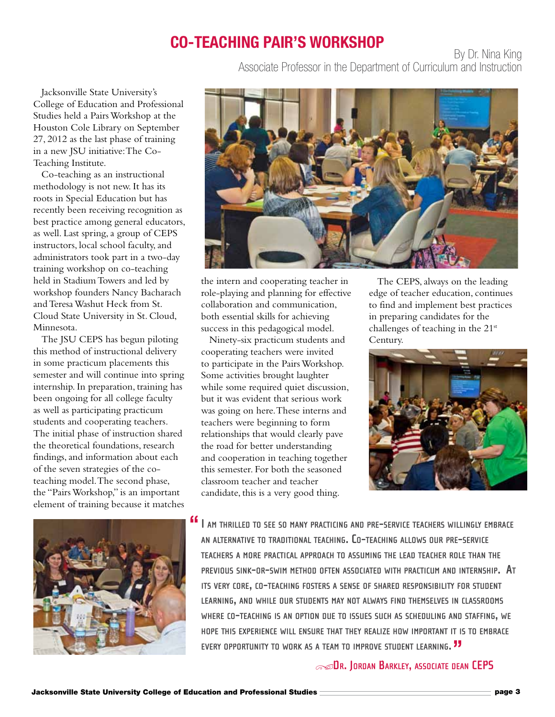### **Co-Teaching Pair's Workshop**

By Dr. Nina King Associate Professor in the Department of Curriculum and Instruction

Jacksonville State University's College of Education and Professional Studies held a Pairs Workshop at the Houston Cole Library on September 27, 2012 as the last phase of training in a new JSU initiative: The Co-Teaching Institute.

Co-teaching as an instructional methodology is not new. It has its roots in Special Education but has recently been receiving recognition as best practice among general educators, as well. Last spring, a group of CEPS instructors, local school faculty, and administrators took part in a two-day training workshop on co-teaching held in Stadium Towers and led by workshop founders Nancy Bacharach and Teresa Washut Heck from St. Cloud State University in St. Cloud, Minnesota.

The JSU CEPS has begun piloting this method of instructional delivery in some practicum placements this semester and will continue into spring internship. In preparation, training has been ongoing for all college faculty as well as participating practicum students and cooperating teachers. The initial phase of instruction shared the theoretical foundations, research findings, and information about each of the seven strategies of the coteaching model. The second phase, the "Pairs Workshop," is an important element of training because it matches





the intern and cooperating teacher in role-playing and planning for effective collaboration and communication, both essential skills for achieving success in this pedagogical model.

Ninety-six practicum students and cooperating teachers were invited to participate in the Pairs Workshop. Some activities brought laughter while some required quiet discussion, but it was evident that serious work was going on here. These interns and teachers were beginning to form relationships that would clearly pave the road for better understanding and cooperation in teaching together this semester. For both the seasoned classroom teacher and teacher candidate, this is a very good thing.

The CEPS, always on the leading edge of teacher education, continues to find and implement best practices in preparing candidates for the challenges of teaching in the 21<sup>st</sup> Century.



**I am thrilled to see so many practicing and pre-service teachers willingly embrace " an alternative to traditional teaching. Co-teaching allows our pre-service teachers a more practical approach to assuming the lead teacher role than the previous sink-or-swim method often associated with practicum and internship. At its very core, co-teaching fosters a sense of shared responsibility for student learning, and while our students may not always find themselves in classrooms where co-teaching is an option due to issues such as scheduling and staffing, we hope this experience will ensure that they realize how important it is to embrace every opportunity to work as a team to improve student learning. "**

#### s**Dr. Jordan Barkley, associate dean CEPS**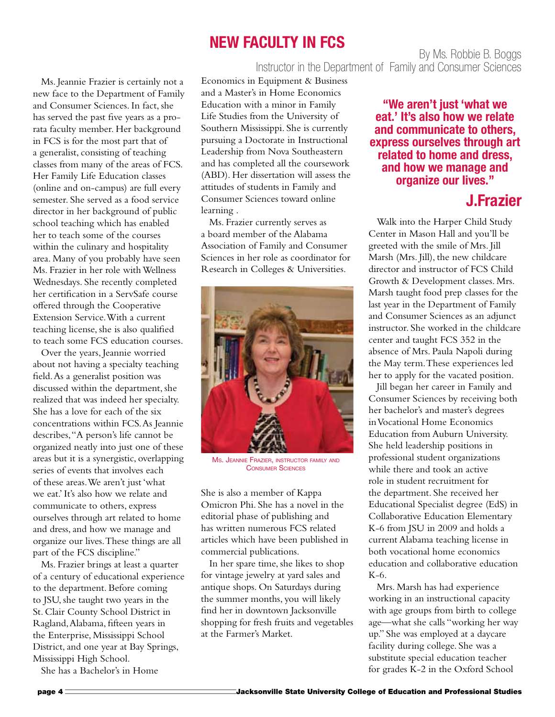### **New Faculty in FCS**

By Ms. Robbie B. Boggs Instructor in the Department of Family and Consumer Sciences

Ms. Jeannie Frazier is certainly not a new face to the Department of Family and Consumer Sciences. In fact, she has served the past five years as a prorata faculty member. Her background in FCS is for the most part that of a generalist, consisting of teaching classes from many of the areas of FCS. Her Family Life Education classes (online and on-campus) are full every semester. She served as a food service director in her background of public school teaching which has enabled her to teach some of the courses within the culinary and hospitality area. Many of you probably have seen Ms. Frazier in her role with Wellness Wednesdays. She recently completed her certification in a ServSafe course offered through the Cooperative Extension Service. With a current teaching license, she is also qualified to teach some FCS education courses.

Over the years, Jeannie worried about not having a specialty teaching field. As a generalist position was discussed within the department, she realized that was indeed her specialty. She has a love for each of the six concentrations within FCS. As Jeannie describes, "A person's life cannot be organized neatly into just one of these areas but it is a synergistic, overlapping series of events that involves each of these areas. We aren't just 'what we eat.' It's also how we relate and communicate to others, express ourselves through art related to home and dress, and how we manage and organize our lives. These things are all part of the FCS discipline."

Ms. Frazier brings at least a quarter of a century of educational experience to the department. Before coming to JSU, she taught two years in the St. Clair County School District in Ragland, Alabama, fifteen years in the Enterprise, Mississippi School District, and one year at Bay Springs, Mississippi High School.

She has a Bachelor's in Home

Economics in Equipment & Business and a Master's in Home Economics Education with a minor in Family Life Studies from the University of Southern Mississippi. She is currently pursuing a Doctorate in Instructional Leadership from Nova Southeastern and has completed all the coursework (ABD). Her dissertation will assess the attitudes of students in Family and Consumer Sciences toward online learning .

Ms. Frazier currently serves as a board member of the Alabama Association of Family and Consumer Sciences in her role as coordinator for Research in Colleges & Universities.



Ms. Jeannie Frazier, instructor family and Consumer Sciences

She is also a member of Kappa Omicron Phi. She has a novel in the editorial phase of publishing and has written numerous FCS related articles which have been published in commercial publications.

In her spare time, she likes to shop for vintage jewelry at yard sales and antique shops. On Saturdays during the summer months, you will likely find her in downtown Jacksonville shopping for fresh fruits and vegetables at the Farmer's Market.

**"We aren't just 'what we eat.' It's also how we relate and communicate to others, express ourselves through art related to home and dress, and how we manage and organize our lives."**

#### **J.Frazier**

Walk into the Harper Child Study Center in Mason Hall and you'll be greeted with the smile of Mrs. Jill Marsh (Mrs. Jill), the new childcare director and instructor of FCS Child Growth & Development classes. Mrs. Marsh taught food prep classes for the last year in the Department of Family and Consumer Sciences as an adjunct instructor. She worked in the childcare center and taught FCS 352 in the absence of Mrs. Paula Napoli during the May term. These experiences led her to apply for the vacated position.

Jill began her career in Family and Consumer Sciences by receiving both her bachelor's and master's degrees in Vocational Home Economics Education from Auburn University. She held leadership positions in professional student organizations while there and took an active role in student recruitment for the department. She received her Educational Specialist degree (EdS) in Collaborative Education Elementary K-6 from JSU in 2009 and holds a current Alabama teaching license in both vocational home economics education and collaborative education K-6.

Mrs. Marsh has had experience working in an instructional capacity with age groups from birth to college age—what she calls "working her way up." She was employed at a daycare facility during college. She was a substitute special education teacher for grades K-2 in the Oxford School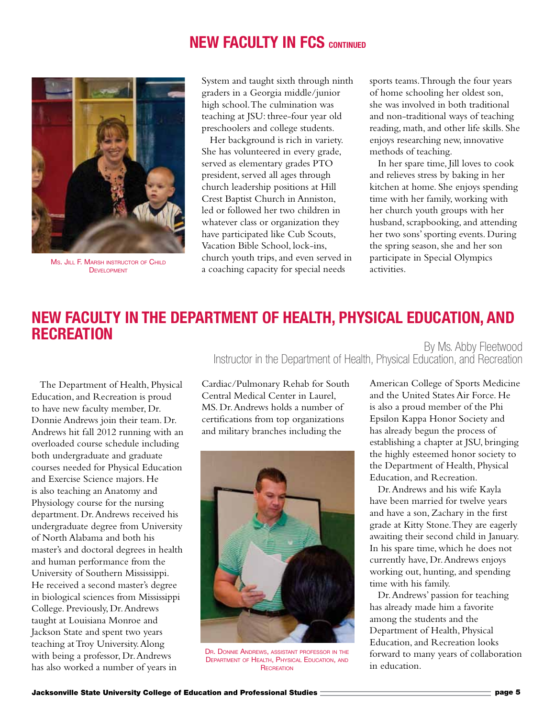### **NEW FACULTY IN FCS CONTINUED**



Ms. JILL F. MARSH INSTRUCTOR OF CHILD DEVELOPMENT

System and taught sixth through ninth graders in a Georgia middle/junior high school. The culmination was teaching at JSU: three-four year old preschoolers and college students.

Her background is rich in variety. She has volunteered in every grade, served as elementary grades PTO president, served all ages through church leadership positions at Hill Crest Baptist Church in Anniston, led or followed her two children in whatever class or organization they have participated like Cub Scouts, Vacation Bible School, lock-ins, church youth trips, and even served in a coaching capacity for special needs

sports teams. Through the four years of home schooling her oldest son, she was involved in both traditional and non-traditional ways of teaching reading, math, and other life skills. She enjoys researching new, innovative methods of teaching.

In her spare time, Jill loves to cook and relieves stress by baking in her kitchen at home. She enjoys spending time with her family, working with her church youth groups with her husband, scrapbooking, and attending her two sons' sporting events. During the spring season, she and her son participate in Special Olympics activities.

#### By Ms. Abby Fleetwood **New Faculty in the Department of Health, Physical Education, and Recreation**

The Department of Health, Physical Education, and Recreation is proud to have new faculty member, Dr. Donnie Andrews join their team. Dr. Andrews hit fall 2012 running with an overloaded course schedule including both undergraduate and graduate courses needed for Physical Education and Exercise Science majors. He is also teaching an Anatomy and Physiology course for the nursing department. Dr. Andrews received his undergraduate degree from University of North Alabama and both his master's and doctoral degrees in health and human performance from the University of Southern Mississippi. He received a second master's degree in biological sciences from Mississippi College. Previously, Dr. Andrews taught at Louisiana Monroe and Jackson State and spent two years teaching at Troy University. Along with being a professor, Dr. Andrews has also worked a number of years in

Cardiac/Pulmonary Rehab for South Central Medical Center in Laurel, MS. Dr. Andrews holds a number of certifications from top organizations and military branches including the



Dr. Donnie Andrews, assistant professor in the Department of Health, Physical Education, and **RECREATION** 

American College of Sports Medicine and the United States Air Force. He is also a proud member of the Phi Epsilon Kappa Honor Society and has already begun the process of establishing a chapter at JSU, bringing the highly esteemed honor society to the Department of Health, Physical Education, and Recreation.

Instructor in the Department of Health, Physical Education, and Recreation

Dr. Andrews and his wife Kayla have been married for twelve years and have a son, Zachary in the first grade at Kitty Stone. They are eagerly awaiting their second child in January. In his spare time, which he does not currently have, Dr. Andrews enjoys working out, hunting, and spending time with his family.

Dr. Andrews' passion for teaching has already made him a favorite among the students and the Department of Health, Physical Education, and Recreation looks forward to many years of collaboration in education.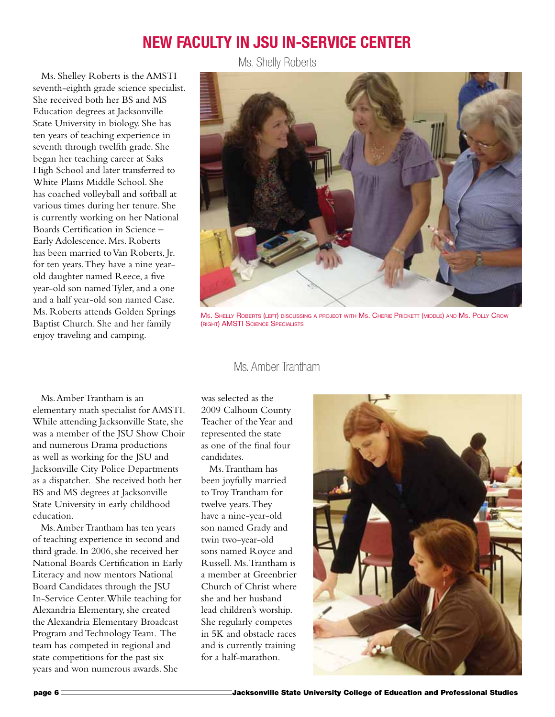#### **New Faculty in JSU In-service Center**

Ms. Shelly Roberts

Ms. Shelley Roberts is the AMSTI seventh-eighth grade science specialist. She received both her BS and MS Education degrees at Jacksonville State University in biology. She has ten years of teaching experience in seventh through twelfth grade. She began her teaching career at Saks High School and later transferred to White Plains Middle School. She has coached volleyball and softball at various times during her tenure. She is currently working on her National Boards Certification in Science – Early Adolescence. Mrs. Roberts has been married to Van Roberts, Jr. for ten years. They have a nine yearold daughter named Reece, a five year-old son named Tyler, and a one and a half year-old son named Case. Ms. Roberts attends Golden Springs Baptist Church. She and her family enjoy traveling and camping.



Ms. Shelly Roberts (left) discussing a project with Ms. Cherie Prickett (middle) and Ms. Polly Crow (right) AMSTI Science Specialists

#### Ms. Amber Trantham

Ms. Amber Trantham is an elementary math specialist for AMSTI. While attending Jacksonville State, she was a member of the JSU Show Choir and numerous Drama productions as well as working for the JSU and Jacksonville City Police Departments as a dispatcher. She received both her BS and MS degrees at Jacksonville State University in early childhood education.

Ms. Amber Trantham has ten years of teaching experience in second and third grade. In 2006, she received her National Boards Certification in Early Literacy and now mentors National Board Candidates through the JSU In-Service Center. While teaching for Alexandria Elementary, she created the Alexandria Elementary Broadcast Program and Technology Team. The team has competed in regional and state competitions for the past six years and won numerous awards. She

was selected as the 2009 Calhoun County Teacher of the Year and represented the state as one of the final four candidates.

Ms. Trantham has been joyfully married to Troy Trantham for twelve years. They have a nine-year-old son named Grady and twin two-year-old sons named Royce and Russell. Ms. Trantham is a member at Greenbrier Church of Christ where she and her husband lead children's worship. She regularly competes in 5K and obstacle races and is currently training for a half-marathon.

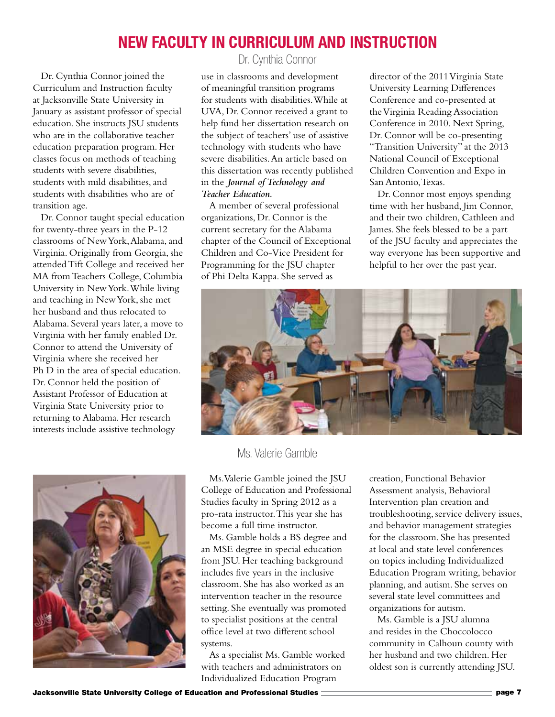#### **New Faculty in Curriculum and Instruction**

Dr. Cynthia Connor joined the Curriculum and Instruction faculty at Jacksonville State University in January as assistant professor of special education. She instructs JSU students who are in the collaborative teacher education preparation program. Her classes focus on methods of teaching students with severe disabilities, students with mild disabilities, and students with disabilities who are of transition age.

Dr. Connor taught special education for twenty-three years in the P-12 classrooms of New York, Alabama, and Virginia. Originally from Georgia, she attended Tift College and received her MA from Teachers College, Columbia University in New York. While living and teaching in New York, she met her husband and thus relocated to Alabama. Several years later, a move to Virginia with her family enabled Dr. Connor to attend the University of Virginia where she received her Ph D in the area of special education. Dr. Connor held the position of Assistant Professor of Education at Virginia State University prior to returning to Alabama. Her research interests include assistive technology



Dr. Cynthia Connor

use in classrooms and development of meaningful transition programs for students with disabilities. While at UVA, Dr. Connor received a grant to help fund her dissertation research on the subject of teachers' use of assistive technology with students who have severe disabilities. An article based on this dissertation was recently published in the *Journal of Technology and Teacher Education.*

A member of several professional organizations, Dr. Connor is the current secretary for the Alabama chapter of the Council of Exceptional Children and Co-Vice President for Programming for the JSU chapter of Phi Delta Kappa. She served as

director of the 2011 Virginia State University Learning Differences Conference and co-presented at the Virginia Reading Association Conference in 2010. Next Spring, Dr. Connor will be co-presenting "Transition University" at the 2013 National Council of Exceptional Children Convention and Expo in San Antonio, Texas.

Dr. Connor most enjoys spending time with her husband, Jim Connor, and their two children, Cathleen and James. She feels blessed to be a part of the JSU faculty and appreciates the way everyone has been supportive and helpful to her over the past year.



Ms. Valerie Gamble

Ms. Valerie Gamble joined the JSU College of Education and Professional Studies faculty in Spring 2012 as a pro-rata instructor. This year she has become a full time instructor.

Ms. Gamble holds a BS degree and an MSE degree in special education from JSU. Her teaching background includes five years in the inclusive classroom. She has also worked as an intervention teacher in the resource setting. She eventually was promoted to specialist positions at the central office level at two different school systems.

As a specialist Ms. Gamble worked with teachers and administrators on Individualized Education Program

creation, Functional Behavior Assessment analysis, Behavioral Intervention plan creation and troubleshooting, service delivery issues, and behavior management strategies for the classroom. She has presented at local and state level conferences on topics including Individualized Education Program writing, behavior planning, and autism. She serves on several state level committees and organizations for autism.

Ms. Gamble is a JSU alumna and resides in the Choccolocco community in Calhoun county with her husband and two children. Her oldest son is currently attending JSU.